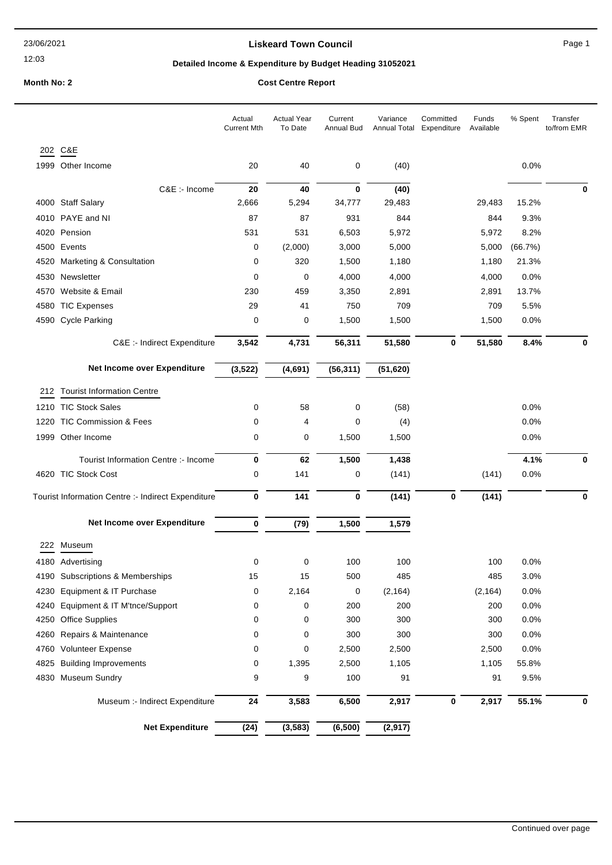12:03

## **Liskeard Town Council Canadian Council** Page 1

## **Detailed Income & Expenditure by Budget Heading 31052021**

## **Month No: 2 Cost Centre Report**

|      |                                                    | Actual<br><b>Current Mth</b> | <b>Actual Year</b><br>To Date | Current<br>Annual Bud | Variance<br>Annual Total | Committed<br>Expenditure | Funds<br>Available | % Spent | Transfer<br>to/from EMR |
|------|----------------------------------------------------|------------------------------|-------------------------------|-----------------------|--------------------------|--------------------------|--------------------|---------|-------------------------|
|      | 202 C&E                                            |                              |                               |                       |                          |                          |                    |         |                         |
|      | 1999 Other Income                                  | 20                           | 40                            | 0                     | (40)                     |                          |                    | 0.0%    |                         |
|      | C&E :- Income                                      | 20                           | 40                            | $\mathbf 0$           | (40)                     |                          |                    |         | 0                       |
|      | 4000 Staff Salary                                  | 2,666                        | 5,294                         | 34,777                | 29,483                   |                          | 29,483             | 15.2%   |                         |
|      | 4010 PAYE and NI                                   | 87                           | 87                            | 931                   | 844                      |                          | 844                | 9.3%    |                         |
|      | 4020 Pension                                       | 531                          | 531                           | 6,503                 | 5,972                    |                          | 5,972              | 8.2%    |                         |
|      | 4500 Events                                        | 0                            | (2,000)                       | 3,000                 | 5,000                    |                          | 5,000              | (66.7%) |                         |
| 4520 | Marketing & Consultation                           | 0                            | 320                           | 1,500                 | 1,180                    |                          | 1,180              | 21.3%   |                         |
|      | 4530 Newsletter                                    | 0                            | 0                             | 4,000                 | 4,000                    |                          | 4,000              | 0.0%    |                         |
| 4570 | Website & Email                                    | 230                          | 459                           | 3,350                 | 2,891                    |                          | 2,891              | 13.7%   |                         |
| 4580 | <b>TIC Expenses</b>                                | 29                           | 41                            | 750                   | 709                      |                          | 709                | 5.5%    |                         |
| 4590 | <b>Cycle Parking</b>                               | 0                            | 0                             | 1,500                 | 1,500                    |                          | 1,500              | 0.0%    |                         |
|      | C&E :- Indirect Expenditure                        | 3,542                        | 4,731                         | 56,311                | 51,580                   | 0                        | 51,580             | 8.4%    | 0                       |
|      | Net Income over Expenditure                        | (3, 522)                     | (4,691)                       | (56, 311)             | (51, 620)                |                          |                    |         |                         |
|      | 212 Tourist Information Centre                     |                              |                               |                       |                          |                          |                    |         |                         |
|      | 1210 TIC Stock Sales                               | 0                            | 58                            | $\mathbf 0$           | (58)                     |                          |                    | 0.0%    |                         |
| 1220 | <b>TIC Commission &amp; Fees</b>                   | 0                            | 4                             | 0                     | (4)                      |                          |                    | 0.0%    |                         |
|      | 1999 Other Income                                  | 0                            | 0                             | 1,500                 | 1,500                    |                          |                    | 0.0%    |                         |
|      | Tourist Information Centre :- Income               | 0                            | 62                            | 1,500                 | 1,438                    |                          |                    | 4.1%    | $\bf{0}$                |
|      | 4620 TIC Stock Cost                                | 0                            | 141                           | 0                     | (141)                    |                          | (141)              | 0.0%    |                         |
|      | Tourist Information Centre :- Indirect Expenditure | 0                            | 141                           | $\bf{0}$              | (141)                    | $\mathbf 0$              | (141)              |         | $\bf{0}$                |
|      | Net Income over Expenditure                        | 0                            | (79)                          | 1,500                 | 1,579                    |                          |                    |         |                         |
|      | 222 Museum                                         |                              |                               |                       |                          |                          |                    |         |                         |
|      | 4180 Advertising                                   | 0                            | 0                             | 100                   | 100                      |                          | 100                | 0.0%    |                         |
|      | 4190 Subscriptions & Memberships                   | 15                           | 15                            | 500                   | 485                      |                          | 485                | 3.0%    |                         |
| 4230 | Equipment & IT Purchase                            | 0                            | 2,164                         | 0                     | (2, 164)                 |                          | (2, 164)           | 0.0%    |                         |
| 4240 | Equipment & IT M'tnce/Support                      | 0                            | 0                             | 200                   | 200                      |                          | 200                | 0.0%    |                         |
| 4250 | <b>Office Supplies</b>                             | 0                            | 0                             | 300                   | 300                      |                          | 300                | 0.0%    |                         |
|      | 4260 Repairs & Maintenance                         | 0                            | 0                             | 300                   | 300                      |                          | 300                | 0.0%    |                         |
|      | 4760 Volunteer Expense                             | 0                            | 0                             | 2,500                 | 2,500                    |                          | 2,500              | 0.0%    |                         |
| 4825 | <b>Building Improvements</b>                       | 0                            | 1,395                         | 2,500                 | 1,105                    |                          | 1,105              | 55.8%   |                         |
|      | 4830 Museum Sundry                                 | 9                            | 9                             | 100                   | 91                       |                          | 91                 | 9.5%    |                         |
|      | Museum :- Indirect Expenditure                     | 24                           | 3,583                         | 6,500                 | 2,917                    | $\bf{0}$                 | 2,917              | 55.1%   | $\Omega$                |
|      | <b>Net Expenditure</b>                             | (24)                         | (3, 583)                      | (6, 500)              | (2, 917)                 |                          |                    |         |                         |
|      |                                                    |                              |                               |                       |                          |                          |                    |         |                         |